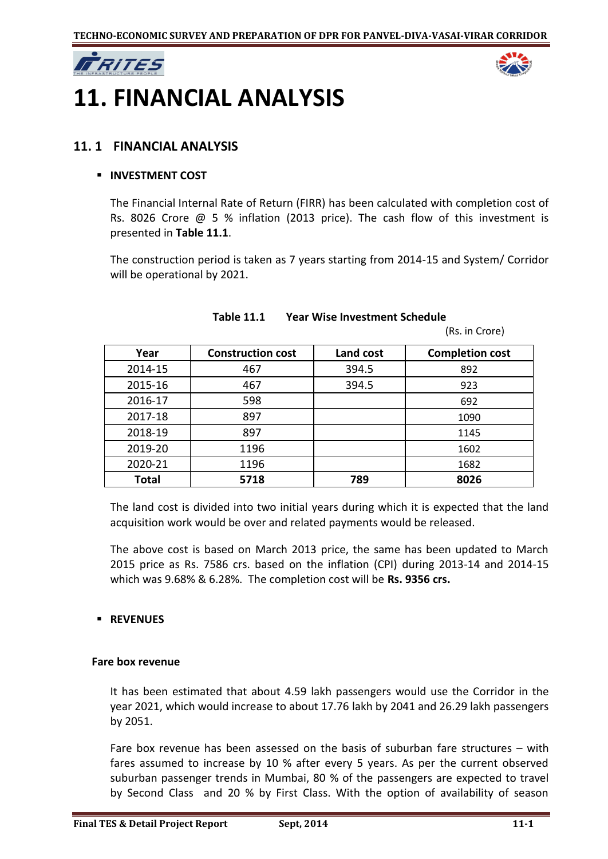



# **11. FINANCIAL ANALYSIS**

## **11. 1 FINANCIAL ANALYSIS**

#### **INVESTMENT COST**

The Financial Internal Rate of Return (FIRR) has been calculated with completion cost of Rs. 8026 Crore @ 5 % inflation (2013 price). The cash flow of this investment is presented in **Table 11.1**.

The construction period is taken as 7 years starting from 2014-15 and System/ Corridor will be operational by 2021.

| Year         | <b>Construction cost</b> | Land cost | <b>Completion cost</b> |
|--------------|--------------------------|-----------|------------------------|
| 2014-15      | 467                      | 394.5     | 892                    |
| 2015-16      | 467                      | 394.5     | 923                    |
| 2016-17      | 598                      |           | 692                    |
| 2017-18      | 897                      |           | 1090                   |
| 2018-19      | 897                      |           | 1145                   |
| 2019-20      | 1196                     |           | 1602                   |
| 2020-21      | 1196                     |           | 1682                   |
| <b>Total</b> | 5718                     | 789       | 8026                   |

#### **Table 11.1 Year Wise Investment Schedule**

(Rs. in Crore)

The land cost is divided into two initial years during which it is expected that the land acquisition work would be over and related payments would be released.

The above cost is based on March 2013 price, the same has been updated to March 2015 price as Rs. 7586 crs. based on the inflation (CPI) during 2013-14 and 2014-15 which was 9.68% & 6.28%. The completion cost will be **Rs. 9356 crs.**

### **REVENUES**

#### **Fare box revenue**

It has been estimated that about 4.59 lakh passengers would use the Corridor in the year 2021, which would increase to about 17.76 lakh by 2041 and 26.29 lakh passengers by 2051.

Fare box revenue has been assessed on the basis of suburban fare structures – with fares assumed to increase by 10 % after every 5 years. As per the current observed suburban passenger trends in Mumbai, 80 % of the passengers are expected to travel by Second Class and 20 % by First Class. With the option of availability of season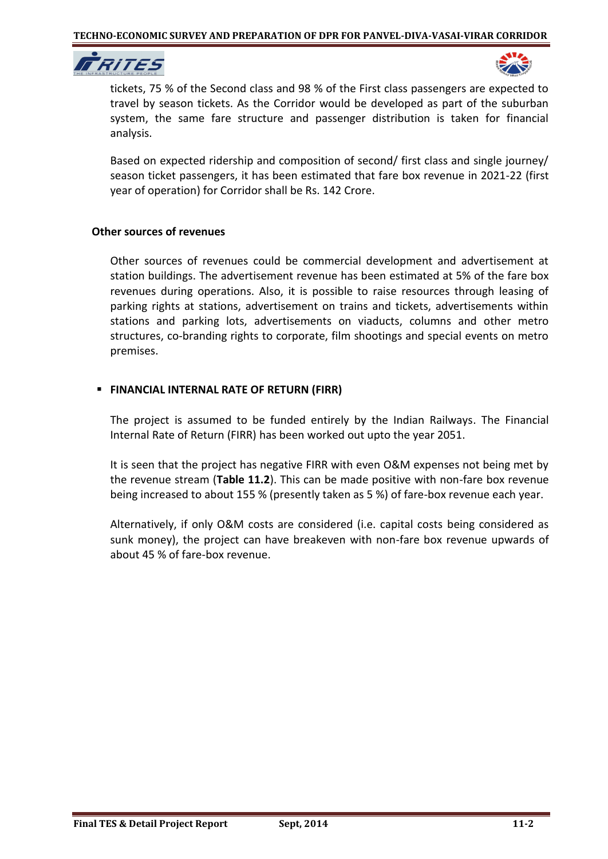



tickets, 75 % of the Second class and 98 % of the First class passengers are expected to travel by season tickets. As the Corridor would be developed as part of the suburban system, the same fare structure and passenger distribution is taken for financial analysis.

Based on expected ridership and composition of second/ first class and single journey/ season ticket passengers, it has been estimated that fare box revenue in 2021-22 (first year of operation) for Corridor shall be Rs. 142 Crore.

#### **Other sources of revenues**

Other sources of revenues could be commercial development and advertisement at station buildings. The advertisement revenue has been estimated at 5% of the fare box revenues during operations. Also, it is possible to raise resources through leasing of parking rights at stations, advertisement on trains and tickets, advertisements within stations and parking lots, advertisements on viaducts, columns and other metro structures, co-branding rights to corporate, film shootings and special events on metro premises.

### **FINANCIAL INTERNAL RATE OF RETURN (FIRR)**

The project is assumed to be funded entirely by the Indian Railways. The Financial Internal Rate of Return (FIRR) has been worked out upto the year 2051.

It is seen that the project has negative FIRR with even O&M expenses not being met by the revenue stream (**Table 11.2**). This can be made positive with non-fare box revenue being increased to about 155 % (presently taken as 5 %) of fare-box revenue each year.

Alternatively, if only O&M costs are considered (i.e. capital costs being considered as sunk money), the project can have breakeven with non-fare box revenue upwards of about 45 % of fare-box revenue.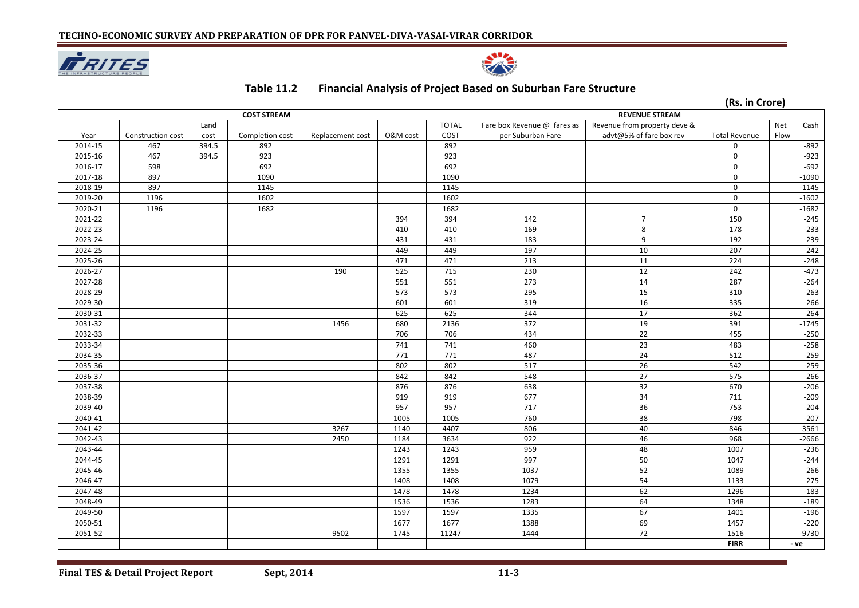



## **Table 11.2 Financial Analysis of Project Based on Suburban Fare Structure**

**(Rs. in Crore)** 

| <b>COST STREAM</b> |                   |       |                 |                  |          | <b>REVENUE STREAM</b> |                             |                              |                      |      |         |
|--------------------|-------------------|-------|-----------------|------------------|----------|-----------------------|-----------------------------|------------------------------|----------------------|------|---------|
|                    |                   | Land  |                 |                  |          | <b>TOTAL</b>          | Fare box Revenue @ fares as | Revenue from property deve & |                      | Net  | Cash    |
| Year               | Construction cost | cost  | Completion cost | Replacement cost | O&M cost | COST                  | per Suburban Fare           | advt@5% of fare box rev      | <b>Total Revenue</b> | Flow |         |
| 2014-15            | 467               | 394.5 | 892             |                  |          | 892                   |                             |                              | 0                    |      | $-892$  |
| 2015-16            | 467               | 394.5 | 923             |                  |          | 923                   |                             |                              | $\mathbf 0$          |      | $-923$  |
| 2016-17            | 598               |       | 692             |                  |          | 692                   |                             |                              | $\mathbf 0$          |      | $-692$  |
| 2017-18            | 897               |       | 1090            |                  |          | 1090                  |                             |                              | $\mathbf 0$          |      | $-1090$ |
| 2018-19            | 897               |       | 1145            |                  |          | 1145                  |                             |                              | $\mathbf 0$          |      | $-1145$ |
| 2019-20            | 1196              |       | 1602            |                  |          | 1602                  |                             |                              | $\mathbf 0$          |      | $-1602$ |
| 2020-21            | 1196              |       | 1682            |                  |          | 1682                  |                             |                              | $\mathbf 0$          |      | $-1682$ |
| 2021-22            |                   |       |                 |                  | 394      | 394                   | 142                         | $\overline{7}$               | 150                  |      | $-245$  |
| 2022-23            |                   |       |                 |                  | 410      | 410                   | 169                         | 8                            | 178                  |      | $-233$  |
| 2023-24            |                   |       |                 |                  | 431      | 431                   | 183                         | 9                            | 192                  |      | $-239$  |
| 2024-25            |                   |       |                 |                  | 449      | 449                   | 197                         | 10                           | 207                  |      | $-242$  |
| 2025-26            |                   |       |                 |                  | 471      | 471                   | 213                         | 11                           | 224                  |      | $-248$  |
| 2026-27            |                   |       |                 | 190              | 525      | 715                   | 230                         | 12                           | 242                  |      | $-473$  |
| 2027-28            |                   |       |                 |                  | 551      | 551                   | 273                         | 14                           | 287                  |      | $-264$  |
| 2028-29            |                   |       |                 |                  | 573      | 573                   | 295                         | 15                           | 310                  |      | $-263$  |
| 2029-30            |                   |       |                 |                  | 601      | 601                   | 319                         | 16                           | 335                  |      | $-266$  |
| 2030-31            |                   |       |                 |                  | 625      | 625                   | 344                         | 17                           | 362                  |      | $-264$  |
| 2031-32            |                   |       |                 | 1456             | 680      | 2136                  | 372                         | 19                           | 391                  |      | $-1745$ |
| 2032-33            |                   |       |                 |                  | 706      | 706                   | 434                         | 22                           | 455                  |      | $-250$  |
| 2033-34            |                   |       |                 |                  | 741      | 741                   | 460                         | $\overline{23}$              | 483                  |      | $-258$  |
| 2034-35            |                   |       |                 |                  | 771      | 771                   | 487                         | 24                           | 512                  |      | $-259$  |
| 2035-36            |                   |       |                 |                  | 802      | 802                   | 517                         | 26                           | 542                  |      | $-259$  |
| 2036-37            |                   |       |                 |                  | 842      | 842                   | 548                         | 27                           | 575                  |      | $-266$  |
| 2037-38            |                   |       |                 |                  | 876      | 876                   | 638                         | 32                           | 670                  |      | $-206$  |
| 2038-39            |                   |       |                 |                  | 919      | 919                   | 677                         | 34                           | 711                  |      | $-209$  |
| 2039-40            |                   |       |                 |                  | 957      | 957                   | 717                         | 36                           | 753                  |      | $-204$  |
| 2040-41            |                   |       |                 |                  | 1005     | 1005                  | 760                         | 38                           | 798                  |      | $-207$  |
| 2041-42            |                   |       |                 | 3267             | 1140     | 4407                  | 806                         | 40                           | 846                  |      | $-3561$ |
| 2042-43            |                   |       |                 | 2450             | 1184     | 3634                  | 922                         | 46                           | 968                  |      | $-2666$ |
| 2043-44            |                   |       |                 |                  | 1243     | 1243                  | 959                         | 48                           | 1007                 |      | $-236$  |
| 2044-45            |                   |       |                 |                  | 1291     | 1291                  | 997                         | 50                           | 1047                 |      | $-244$  |
| 2045-46            |                   |       |                 |                  | 1355     | 1355                  | 1037                        | 52                           | 1089                 |      | $-266$  |
| 2046-47            |                   |       |                 |                  | 1408     | 1408                  | 1079                        | 54                           | 1133                 |      | $-275$  |
| 2047-48            |                   |       |                 |                  | 1478     | 1478                  | 1234                        | 62                           | 1296                 |      | $-183$  |
| 2048-49            |                   |       |                 |                  | 1536     | 1536                  | 1283                        | 64                           | 1348                 |      | $-189$  |
| 2049-50            |                   |       |                 |                  | 1597     | 1597                  | 1335                        | 67                           | 1401                 |      | $-196$  |
| 2050-51            |                   |       |                 |                  | 1677     | 1677                  | 1388                        | 69                           | 1457                 |      | $-220$  |
| 2051-52            |                   |       |                 | 9502             | 1745     | 11247                 | 1444                        | 72                           | 1516                 |      | $-9730$ |
|                    |                   |       |                 |                  |          |                       |                             |                              | <b>FIRR</b>          | - ve |         |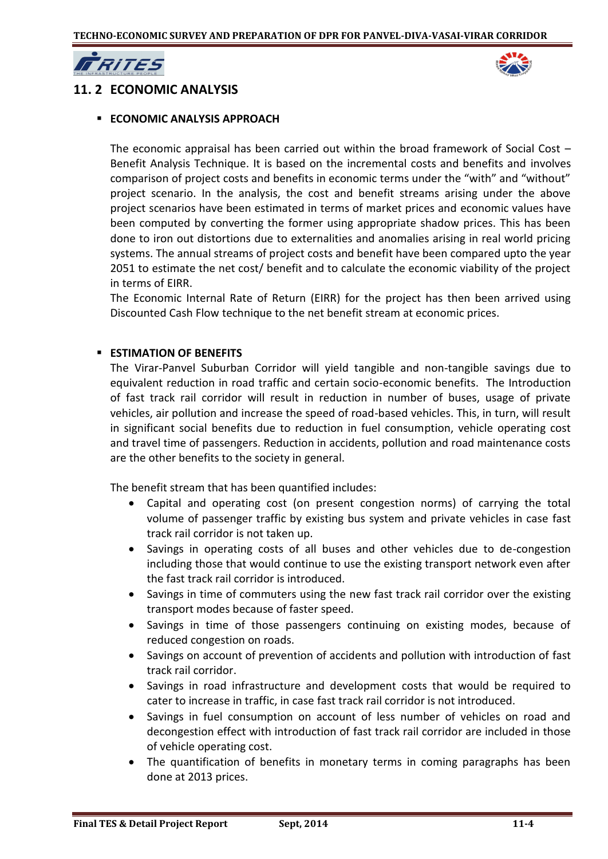

## **11. 2 ECONOMIC ANALYSIS**

#### **ECONOMIC ANALYSIS APPROACH**

The economic appraisal has been carried out within the broad framework of Social Cost  $-$ Benefit Analysis Technique. It is based on the incremental costs and benefits and involves comparison of project costs and benefits in economic terms under the "with" and "without" project scenario. In the analysis, the cost and benefit streams arising under the above project scenarios have been estimated in terms of market prices and economic values have been computed by converting the former using appropriate shadow prices. This has been done to iron out distortions due to externalities and anomalies arising in real world pricing systems. The annual streams of project costs and benefit have been compared upto the year 2051 to estimate the net cost/ benefit and to calculate the economic viability of the project in terms of EIRR.

The Economic Internal Rate of Return (EIRR) for the project has then been arrived using Discounted Cash Flow technique to the net benefit stream at economic prices.

#### **ESTIMATION OF BENEFITS**

The Virar-Panvel Suburban Corridor will yield tangible and non-tangible savings due to equivalent reduction in road traffic and certain socio-economic benefits. The Introduction of fast track rail corridor will result in reduction in number of buses, usage of private vehicles, air pollution and increase the speed of road-based vehicles. This, in turn, will result in significant social benefits due to reduction in fuel consumption, vehicle operating cost and travel time of passengers. Reduction in accidents, pollution and road maintenance costs are the other benefits to the society in general.

The benefit stream that has been quantified includes:

- Capital and operating cost (on present congestion norms) of carrying the total volume of passenger traffic by existing bus system and private vehicles in case fast track rail corridor is not taken up.
- Savings in operating costs of all buses and other vehicles due to de-congestion including those that would continue to use the existing transport network even after the fast track rail corridor is introduced.
- Savings in time of commuters using the new fast track rail corridor over the existing transport modes because of faster speed.
- Savings in time of those passengers continuing on existing modes, because of reduced congestion on roads.
- Savings on account of prevention of accidents and pollution with introduction of fast track rail corridor.
- Savings in road infrastructure and development costs that would be required to cater to increase in traffic, in case fast track rail corridor is not introduced.
- Savings in fuel consumption on account of less number of vehicles on road and decongestion effect with introduction of fast track rail corridor are included in those of vehicle operating cost.
- The quantification of benefits in monetary terms in coming paragraphs has been done at 2013 prices.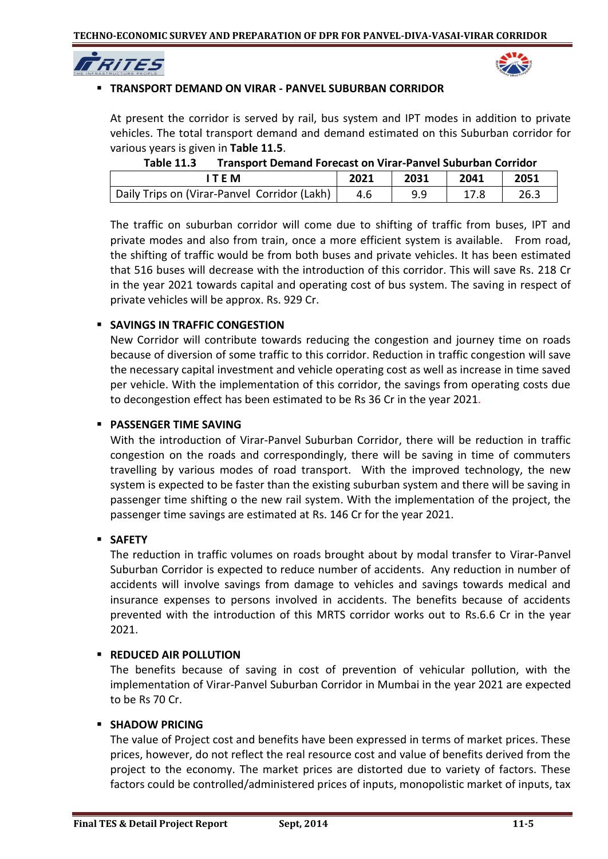



## **TRANSPORT DEMAND ON VIRAR - PANVEL SUBURBAN CORRIDOR**

At present the corridor is served by rail, bus system and IPT modes in addition to private vehicles. The total transport demand and demand estimated on this Suburban corridor for various years is given in **Table 11.5**.

| .                                            |      |      |      |      |
|----------------------------------------------|------|------|------|------|
| <b>TFM</b>                                   | 2021 | 2031 | 2041 | 2051 |
| Daily Trips on (Virar-Panvel Corridor (Lakh) |      | 9.9  |      | 26.3 |

**Table 11.3 Transport Demand Forecast on Virar-Panvel Suburban Corridor** 

The traffic on suburban corridor will come due to shifting of traffic from buses, IPT and private modes and also from train, once a more efficient system is available. From road, the shifting of traffic would be from both buses and private vehicles. It has been estimated that 516 buses will decrease with the introduction of this corridor. This will save Rs. 218 Cr in the year 2021 towards capital and operating cost of bus system. The saving in respect of private vehicles will be approx. Rs. 929 Cr.

## **SAVINGS IN TRAFFIC CONGESTION**

New Corridor will contribute towards reducing the congestion and journey time on roads because of diversion of some traffic to this corridor. Reduction in traffic congestion will save the necessary capital investment and vehicle operating cost as well as increase in time saved per vehicle. With the implementation of this corridor, the savings from operating costs due to decongestion effect has been estimated to be Rs 36 Cr in the year 2021.

### **PASSENGER TIME SAVING**

With the introduction of Virar-Panvel Suburban Corridor, there will be reduction in traffic congestion on the roads and correspondingly, there will be saving in time of commuters travelling by various modes of road transport. With the improved technology, the new system is expected to be faster than the existing suburban system and there will be saving in passenger time shifting o the new rail system. With the implementation of the project, the passenger time savings are estimated at Rs. 146 Cr for the year 2021.

### **SAFETY**

The reduction in traffic volumes on roads brought about by modal transfer to Virar-Panvel Suburban Corridor is expected to reduce number of accidents. Any reduction in number of accidents will involve savings from damage to vehicles and savings towards medical and insurance expenses to persons involved in accidents. The benefits because of accidents prevented with the introduction of this MRTS corridor works out to Rs.6.6 Cr in the year 2021.

## **REDUCED AIR POLLUTION**

The benefits because of saving in cost of prevention of vehicular pollution, with the implementation of Virar-Panvel Suburban Corridor in Mumbai in the year 2021 are expected to be Rs 70 Cr.

### **SHADOW PRICING**

The value of Project cost and benefits have been expressed in terms of market prices. These prices, however, do not reflect the real resource cost and value of benefits derived from the project to the economy. The market prices are distorted due to variety of factors. These factors could be controlled/administered prices of inputs, monopolistic market of inputs, tax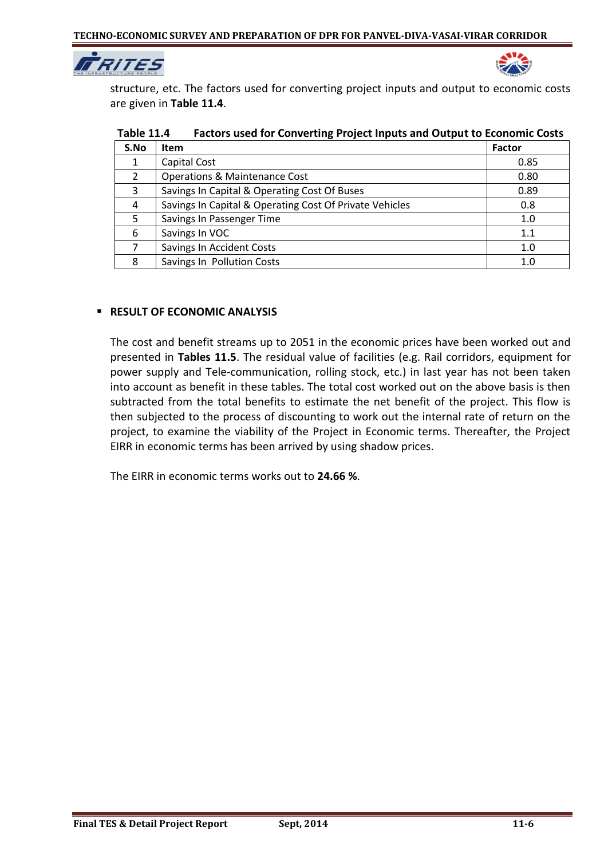



structure, etc. The factors used for converting project inputs and output to economic costs are given in **Table 11.4**.

| S.No | <b>Item</b>                                             | <b>Factor</b> |
|------|---------------------------------------------------------|---------------|
|      | Capital Cost                                            | 0.85          |
| 2    | <b>Operations &amp; Maintenance Cost</b>                | 0.80          |
| 3    | Savings In Capital & Operating Cost Of Buses            | 0.89          |
| 4    | Savings In Capital & Operating Cost Of Private Vehicles | 0.8           |
| 5.   | Savings In Passenger Time                               | 1.0           |
| 6    | Savings In VOC                                          | 1.1           |
|      | Savings In Accident Costs                               | 1.0           |
| 8    | Savings In Pollution Costs                              | 1.0           |

**Table 11.4 Factors used for Converting Project Inputs and Output to Economic Costs**

#### **RESULT OF ECONOMIC ANALYSIS**

The cost and benefit streams up to 2051 in the economic prices have been worked out and presented in **Tables 11.5**. The residual value of facilities (e.g. Rail corridors, equipment for power supply and Tele-communication, rolling stock, etc.) in last year has not been taken into account as benefit in these tables. The total cost worked out on the above basis is then subtracted from the total benefits to estimate the net benefit of the project. This flow is then subjected to the process of discounting to work out the internal rate of return on the project, to examine the viability of the Project in Economic terms. Thereafter, the Project EIRR in economic terms has been arrived by using shadow prices.

The EIRR in economic terms works out to **24.66 %**.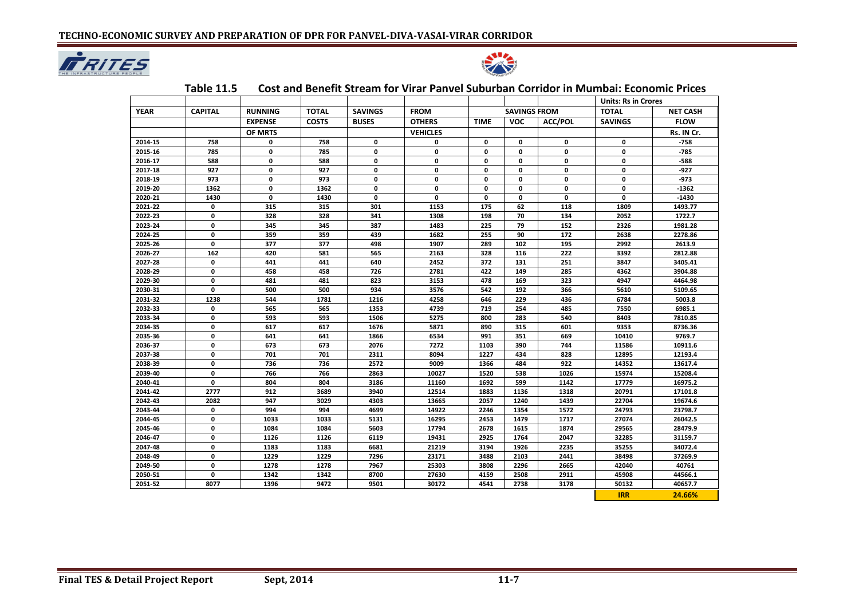



|             |                |                |              |                |                 |             |                     | <b>Units: Rs in Crores</b> |                |                 |
|-------------|----------------|----------------|--------------|----------------|-----------------|-------------|---------------------|----------------------------|----------------|-----------------|
| <b>YEAR</b> | <b>CAPITAL</b> | <b>RUNNING</b> | <b>TOTAL</b> | <b>SAVINGS</b> | <b>FROM</b>     |             | <b>SAVINGS FROM</b> |                            | <b>TOTAL</b>   | <b>NET CASH</b> |
|             |                | <b>EXPENSE</b> | <b>COSTS</b> | <b>BUSES</b>   | <b>OTHERS</b>   | <b>TIME</b> | <b>VOC</b>          | <b>ACC/POL</b>             | <b>SAVINGS</b> | <b>FLOW</b>     |
|             |                | OF MRTS        |              |                | <b>VEHICLES</b> |             |                     |                            |                | Rs. IN Cr.      |
| 2014-15     | 758            | 0              | 758          | 0              | 0               | 0           | 0                   | 0                          | 0              | $-758$          |
| 2015-16     | 785            | 0              | 785          | 0              | 0               | 0           | $\mathbf 0$         | $\mathbf 0$                | 0              | $-785$          |
| 2016-17     | 588            | 0              | 588          | 0              | 0               | 0           | $\mathbf{0}$        | $\mathbf 0$                | 0              | $-588$          |
| 2017-18     | 927            | 0              | 927          | $\mathbf 0$    | 0               | 0           | 0                   | $\mathbf 0$                | 0              | $-927$          |
| 2018-19     | 973            | $\mathbf{0}$   | 973          | 0              | 0               | 0           | $\mathbf{0}$        | $\mathbf{0}$               | 0              | $-973$          |
| 2019-20     | 1362           | 0              | 1362         | 0              | 0               | 0           | $\mathbf{0}$        | $\mathbf{0}$               | 0              | $-1362$         |
| 2020-21     | 1430           | 0              | 1430         | $\mathbf 0$    | 0               | 0           | 0                   | $\mathbf 0$                | 0              | $-1430$         |
| 2021-22     | 0              | 315            | 315          | 301            | 1153            | 175         | 62                  | 118                        | 1809           | 1493.77         |
| 2022-23     | 0              | 328            | 328          | 341            | 1308            | 198         | 70                  | 134                        | 2052           | 1722.7          |
| 2023-24     | 0              | 345            | 345          | 387            | 1483            | 225         | 79                  | 152                        | 2326           | 1981.28         |
| 2024-25     | $\mathbf 0$    | 359            | 359          | 439            | 1682            | 255         | 90                  | 172                        | 2638           | 2278.86         |
| 2025-26     | $\mathbf{0}$   | 377            | 377          | 498            | 1907            | 289         | 102                 | 195                        | 2992           | 2613.9          |
| 2026-27     | 162            | 420            | 581          | 565            | 2163            | 328         | 116                 | 222                        | 3392           | 2812.88         |
| 2027-28     | 0              | 441            | 441          | 640            | 2452            | 372         | 131                 | 251                        | 3847           | 3405.41         |
| 2028-29     | 0              | 458            | 458          | 726            | 2781            | 422         | 149                 | 285                        | 4362           | 3904.88         |
| 2029-30     | 0              | 481            | 481          | 823            | 3153            | 478         | 169                 | 323                        | 4947           | 4464.98         |
| 2030-31     | $\mathbf 0$    | 500            | 500          | 934            | 3576            | 542         | 192                 | 366                        | 5610           | 5109.65         |
| 2031-32     | 1238           | 544            | 1781         | 1216           | 4258            | 646         | 229                 | 436                        | 6784           | 5003.8          |
| 2032-33     | 0              | 565            | 565          | 1353           | 4739            | 719         | 254                 | 485                        | 7550           | 6985.1          |
| 2033-34     | 0              | 593            | 593          | 1506           | 5275            | 800         | 283                 | 540                        | 8403           | 7810.85         |
| 2034-35     | 0              | 617            | 617          | 1676           | 5871            | 890         | 315                 | 601                        | 9353           | 8736.36         |
| 2035-36     | 0              | 641            | 641          | 1866           | 6534            | 991         | 351                 | 669                        | 10410          | 9769.7          |
| 2036-37     | 0              | 673            | 673          | 2076           | 7272            | 1103        | 390                 | 744                        | 11586          | 10911.6         |
| 2037-38     | 0              | 701            | 701          | 2311           | 8094            | 1227        | 434                 | 828                        | 12895          | 12193.4         |
| 2038-39     | $\mathbf 0$    | 736            | 736          | 2572           | 9009            | 1366        | 484                 | 922                        | 14352          | 13617.4         |
| 2039-40     | $\mathbf 0$    | 766            | 766          | 2863           | 10027           | 1520        | 538                 | 1026                       | 15974          | 15208.4         |
| 2040-41     | 0              | 804            | 804          | 3186           | 11160           | 1692        | 599                 | 1142                       | 17779          | 16975.2         |
| 2041-42     | 2777           | 912            | 3689         | 3940           | 12514           | 1883        | 1136                | 1318                       | 20791          | 17101.8         |
| 2042-43     | 2082           | 947            | 3029         | 4303           | 13665           | 2057        | 1240                | 1439                       | 22704          | 19674.6         |
| 2043-44     | 0              | 994            | 994          | 4699           | 14922           | 2246        | 1354                | 1572                       | 24793          | 23798.7         |
| 2044-45     | 0              | 1033           | 1033         | 5131           | 16295           | 2453        | 1479                | 1717                       | 27074          | 26042.5         |
| 2045-46     | $\mathbf 0$    | 1084           | 1084         | 5603           | 17794           | 2678        | 1615                | 1874                       | 29565          | 28479.9         |
| 2046-47     | $\mathbf 0$    | 1126           | 1126         | 6119           | 19431           | 2925        | 1764                | 2047                       | 32285          | 31159.7         |
| 2047-48     | 0              | 1183           | 1183         | 6681           | 21219           | 3194        | 1926                | 2235                       | 35255          | 34072.4         |
| 2048-49     | $\mathbf 0$    | 1229           | 1229         | 7296           | 23171           | 3488        | 2103                | 2441                       | 38498          | 37269.9         |
| 2049-50     | 0              | 1278           | 1278         | 7967           | 25303           | 3808        | 2296                | 2665                       | 42040          | 40761           |
| 2050-51     | 0              | 1342           | 1342         | 8700           | 27630           | 4159        | 2508                | 2911                       | 45908          | 44566.1         |
| 2051-52     | 8077           | 1396           | 9472         | 9501           | 30172           | 4541        | 2738                | 3178                       | 50132          | 40657.7         |
|             |                |                |              |                |                 |             |                     |                            | <b>IRR</b>     | 24.66%          |

## **Table 11.5 Cost and Benefit Stream for Virar Panvel Suburban Corridor in Mumbai: Economic Prices**